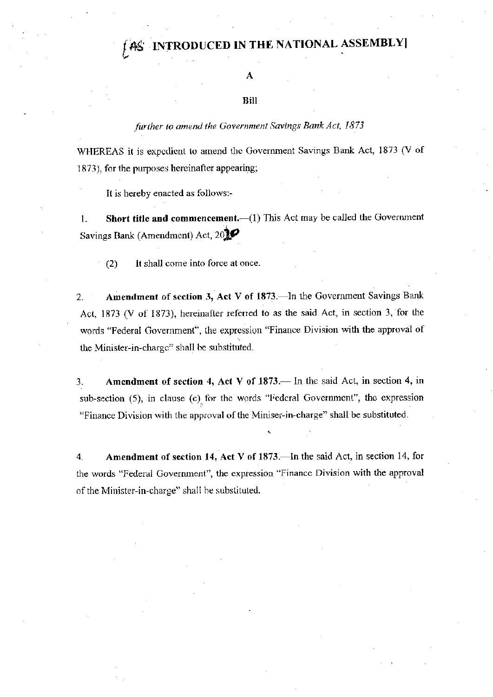## **CED IN THE NATIONAL ASSEMBLY**

### A

#### Bill

#### further to amend the Government Savings Bank Act, 1873

WHEREAS it is expedient to amend the Government Savings Bank Act, 1873 (V of 1873), for the purposes hereinafter appearing;

It is hereby enacted as follows:-

Short title and commencement.-(1) This Act may be called the Government 1. Savings Bank (Amendment) Act, 20

 $(2)$ It shall come into force at once.

Amendment of section 3, Act V of 1873.—In the Government Savings Bank  $2.$ Act, 1873 (V of 1873), hereinafter referred to as the said Act, in section 3, for the words "Federal Government", the expression "Finance Division with the approval of the Minister-in-charge" shall be substituted.

Amendment of section 4, Act V of 1873. In the said Act, in section 4, in 3. sub-section  $(5)$ , in clause  $(c)$  for the words "Federal Government", the expression "Finance Division with the approval of the Miniser-in-charge" shall be substituted.

Amendment of section 14, Act V of 1873.—In the said Act, in section 14, for 4. the words "Federal Government", the expression "Finance Division with the approval of the Minister-in-charge" shall be substituted.